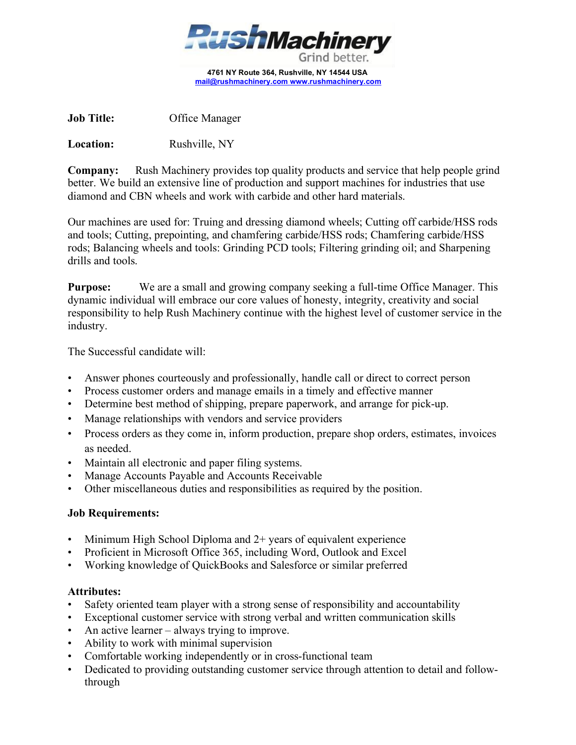

**4761 NY Route 364, Rushville, NY 14544 USA [mail@rushmachinery.com](mailto:mail@rushmachinery.com) [www.rushmachinery.com](http://www.rushmachinery.com/)**

**Job Title:** Office Manager

**Location:** Rushville, NY

**Company:** Rush Machinery provides top quality products and service that help people grind better. We build an extensive line of production and support machines for industries that use diamond and CBN wheels and work with carbide and other hard materials.

Our machines are used for: Truing and dressing diamond wheels; Cutting off carbide/HSS rods and tools; Cutting, prepointing, and chamfering carbide/HSS rods; Chamfering carbide/HSS rods; Balancing wheels and tools: Grinding PCD tools; Filtering grinding oil; and Sharpening drills and tools.

**Purpose:** We are a small and growing company seeking a full-time Office Manager. This dynamic individual will embrace our core values of honesty, integrity, creativity and social responsibility to help Rush Machinery continue with the highest level of customer service in the industry.

The Successful candidate will:

- Answer phones courteously and professionally, handle call or direct to correct person
- Process customer orders and manage emails in a timely and effective manner
- Determine best method of shipping, prepare paperwork, and arrange for pick-up.
- Manage relationships with vendors and service providers
- Process orders as they come in, inform production, prepare shop orders, estimates, invoices as needed.
- Maintain all electronic and paper filing systems.
- Manage Accounts Payable and Accounts Receivable
- Other miscellaneous duties and responsibilities as required by the position.

## **Job Requirements:**

- Minimum High School Diploma and  $2+$  years of equivalent experience
- Proficient in Microsoft Office 365, including Word, Outlook and Excel
- Working knowledge of QuickBooks and Salesforce or similar preferred

## **Attributes:**

- Safety oriented team player with a strong sense of responsibility and accountability
- Exceptional customer service with strong verbal and written communication skills
- An active learner always trying to improve.
- Ability to work with minimal supervision
- Comfortable working independently or in cross-functional team
- Dedicated to providing outstanding customer service through attention to detail and followthrough